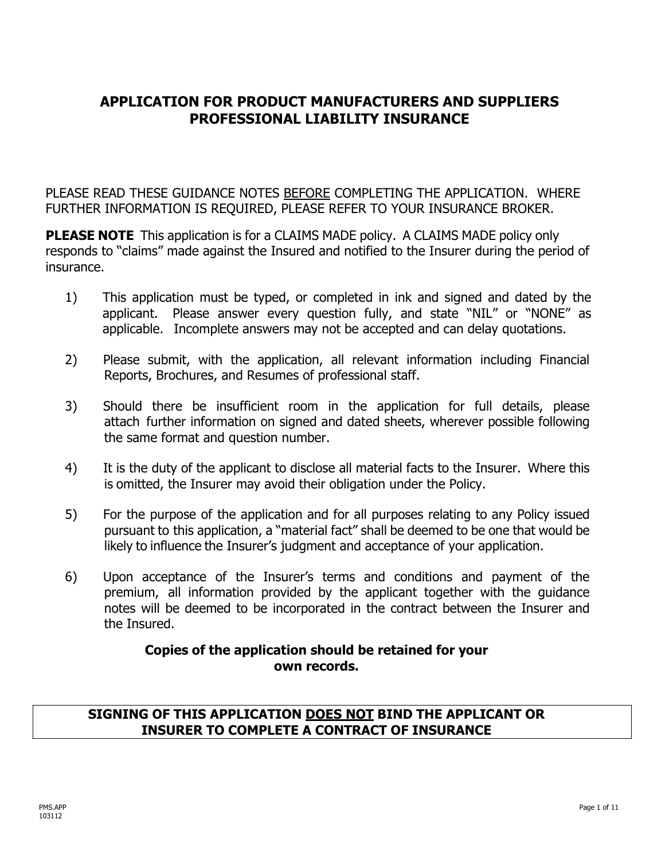# **APPLICATION FOR PRODUCT MANUFACTURERS AND SUPPLIERS PROFESSIONAL LIABILITY INSURANCE**

PLEASE READ THESE GUIDANCE NOTES BEFORE COMPLETING THE APPLICATION. WHERE FURTHER INFORMATION IS REQUIRED, PLEASE REFER TO YOUR INSURANCE BROKER.

**PLEASE NOTE** This application is for a CLAIMS MADE policy. A CLAIMS MADE policy only responds to "claims" made against the Insured and notified to the Insurer during the period of insurance.

- 1) This application must be typed, or completed in ink and signed and dated by the applicant. Please answer every question fully, and state "NIL" or "NONE" as applicable. Incomplete answers may not be accepted and can delay quotations.
- 2) Please submit, with the application, all relevant information including Financial Reports, Brochures, and Resumes of professional staff.
- 3) Should there be insufficient room in the application for full details, please attach further information on signed and dated sheets, wherever possible following the same format and question number.
- 4) It is the duty of the applicant to disclose all material facts to the Insurer. Where this is omitted, the Insurer may avoid their obligation under the Policy.
- 5) For the purpose of the application and for all purposes relating to any Policy issued pursuant to this application, a "material fact" shall be deemed to be one that would be likely to influence the Insurer's judgment and acceptance of your application.
- 6) Upon acceptance of the Insurer's terms and conditions and payment of the premium, all information provided by the applicant together with the guidance notes will be deemed to be incorporated in the contract between the Insurer and the Insured.

## **Copies of the application should be retained for your own records.**

## **SIGNING OF THIS APPLICATION DOES NOT BIND THE APPLICANT OR INSURER TO COMPLETE A CONTRACT OF INSURANCE**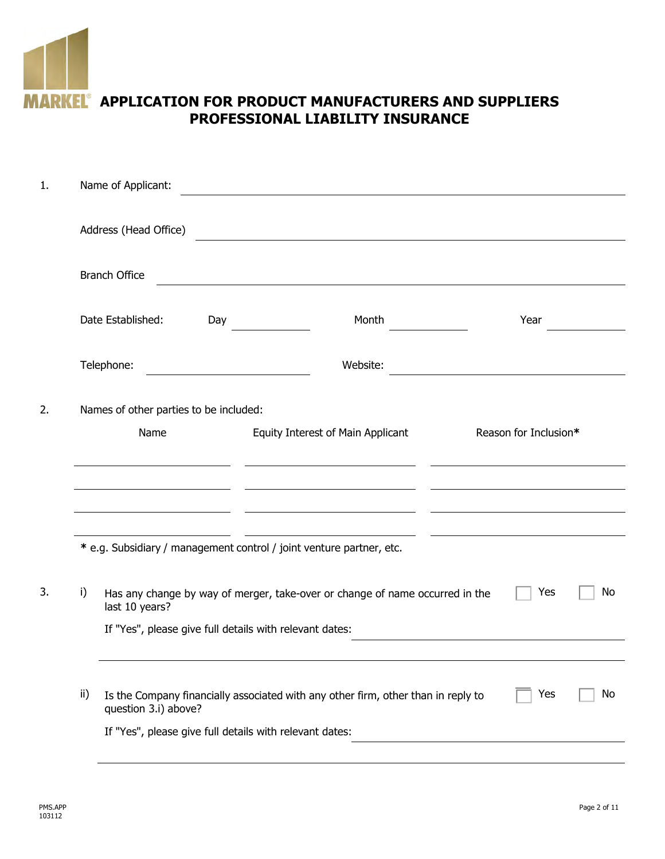

# **MARKEL®** APPLICATION FOR PRODUCT MANUFACTURERS AND SUPPLIERS **PROFESSIONAL LIABILITY INSURANCE**

| 1. |     | Name of Applicant:                                                                                               |                                                         |                                                                              |                       |    |  |  |  |
|----|-----|------------------------------------------------------------------------------------------------------------------|---------------------------------------------------------|------------------------------------------------------------------------------|-----------------------|----|--|--|--|
|    |     | Address (Head Office)                                                                                            |                                                         |                                                                              |                       |    |  |  |  |
|    |     | <b>Branch Office</b>                                                                                             |                                                         |                                                                              |                       |    |  |  |  |
|    |     | Date Established:                                                                                                | Day                                                     | Month                                                                        | Year                  |    |  |  |  |
|    |     | Telephone:                                                                                                       |                                                         | Website:                                                                     |                       |    |  |  |  |
| 2. |     | Names of other parties to be included:                                                                           |                                                         |                                                                              |                       |    |  |  |  |
|    |     | Name                                                                                                             |                                                         | Equity Interest of Main Applicant                                            | Reason for Inclusion* |    |  |  |  |
|    |     |                                                                                                                  |                                                         |                                                                              |                       |    |  |  |  |
|    |     |                                                                                                                  |                                                         |                                                                              |                       |    |  |  |  |
|    |     |                                                                                                                  |                                                         | * e.g. Subsidiary / management control / joint venture partner, etc.         |                       |    |  |  |  |
| 3. | i)  | last 10 years?                                                                                                   |                                                         | Has any change by way of merger, take-over or change of name occurred in the | Yes                   | No |  |  |  |
|    |     | If "Yes", please give full details with relevant dates:                                                          |                                                         |                                                                              |                       |    |  |  |  |
|    |     |                                                                                                                  |                                                         |                                                                              |                       |    |  |  |  |
|    | ii) | Yes<br>Is the Company financially associated with any other firm, other than in reply to<br>question 3.i) above? |                                                         |                                                                              |                       |    |  |  |  |
|    |     |                                                                                                                  | If "Yes", please give full details with relevant dates: |                                                                              |                       |    |  |  |  |
|    |     |                                                                                                                  |                                                         |                                                                              |                       |    |  |  |  |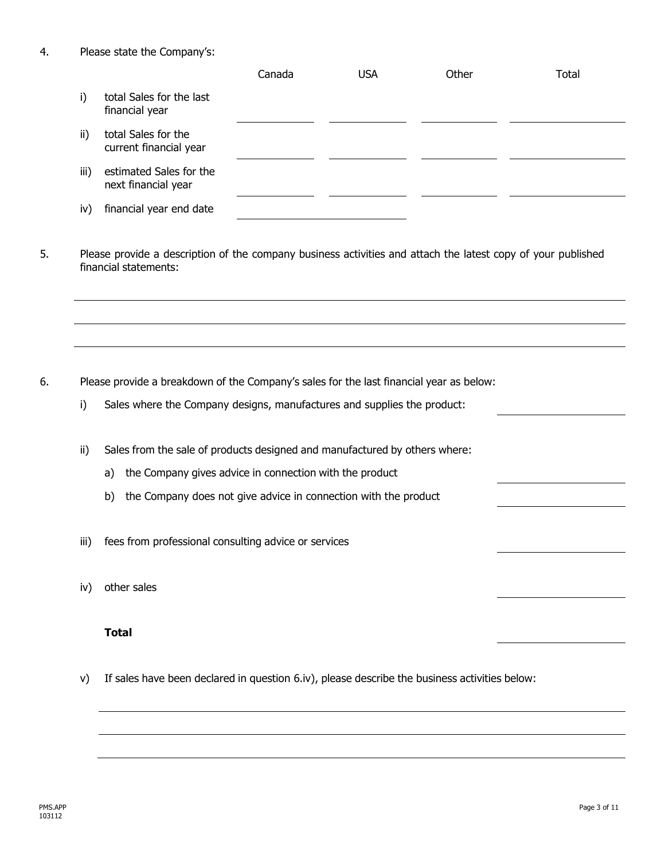|      |                                                | Canada | USA | Other | Total |
|------|------------------------------------------------|--------|-----|-------|-------|
| i)   | total Sales for the last<br>financial year     |        |     |       |       |
| ii)  | total Sales for the<br>current financial year  |        |     |       |       |
| iii) | estimated Sales for the<br>next financial year |        |     |       |       |
| IV)  | financial year end date                        |        |     |       |       |

5. Please provide a description of the company business activities and attach the latest copy of your published financial statements:

6. Please provide a breakdown of the Company's sales for the last financial year as below:

i) Sales where the Company designs, manufactures and supplies the product:

ii) Sales from the sale of products designed and manufactured by others where:

- a) the Company gives advice in connection with the product
- b) the Company does not give advice in connection with the product
- iii) fees from professional consulting advice or services
- iv) other sales

#### **Total**

v) If sales have been declared in question 6.iv), please describe the business activities below: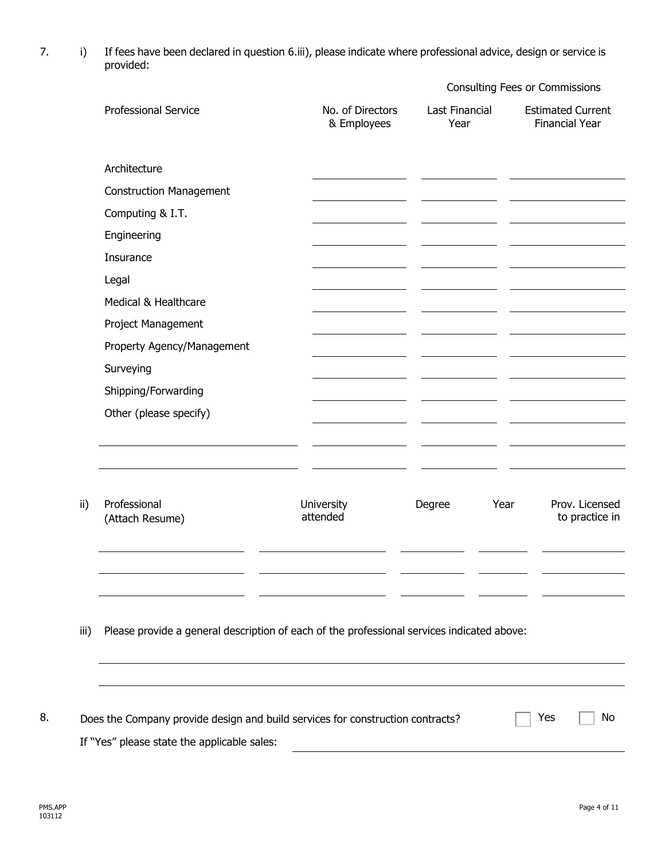7. i) If fees have been declared in question 6.iii), please indicate where professional advice, design or service is provided:

|                 |                                                                                            |                                 | Consulting Fees or Commissions |      |                                                   |  |
|-----------------|--------------------------------------------------------------------------------------------|---------------------------------|--------------------------------|------|---------------------------------------------------|--|
|                 | <b>Professional Service</b>                                                                | No. of Directors<br>& Employees | Last Financial<br>Year         |      | <b>Estimated Current</b><br><b>Financial Year</b> |  |
|                 | Architecture                                                                               |                                 |                                |      |                                                   |  |
|                 | <b>Construction Management</b>                                                             |                                 |                                |      |                                                   |  |
|                 | Computing & I.T.                                                                           |                                 |                                |      |                                                   |  |
|                 | Engineering                                                                                |                                 |                                |      |                                                   |  |
|                 | Insurance                                                                                  |                                 |                                |      |                                                   |  |
|                 | Legal                                                                                      |                                 |                                |      |                                                   |  |
|                 | Medical & Healthcare                                                                       |                                 |                                |      |                                                   |  |
|                 | Project Management                                                                         |                                 |                                |      |                                                   |  |
|                 | Property Agency/Management                                                                 |                                 |                                |      |                                                   |  |
|                 | Surveying                                                                                  |                                 |                                |      |                                                   |  |
|                 | Shipping/Forwarding                                                                        |                                 |                                |      |                                                   |  |
|                 | Other (please specify)                                                                     |                                 |                                |      |                                                   |  |
|                 |                                                                                            |                                 |                                |      |                                                   |  |
|                 |                                                                                            |                                 |                                |      |                                                   |  |
| $\mathsf{ii}$ ) | Professional<br>(Attach Resume)                                                            | University<br>attended          | Degree                         | Year | Prov. Licensed<br>to practice in                  |  |
|                 |                                                                                            |                                 |                                |      |                                                   |  |
| iii)            | Please provide a general description of each of the professional services indicated above: |                                 |                                |      |                                                   |  |
|                 |                                                                                            |                                 |                                |      |                                                   |  |
|                 |                                                                                            |                                 |                                |      |                                                   |  |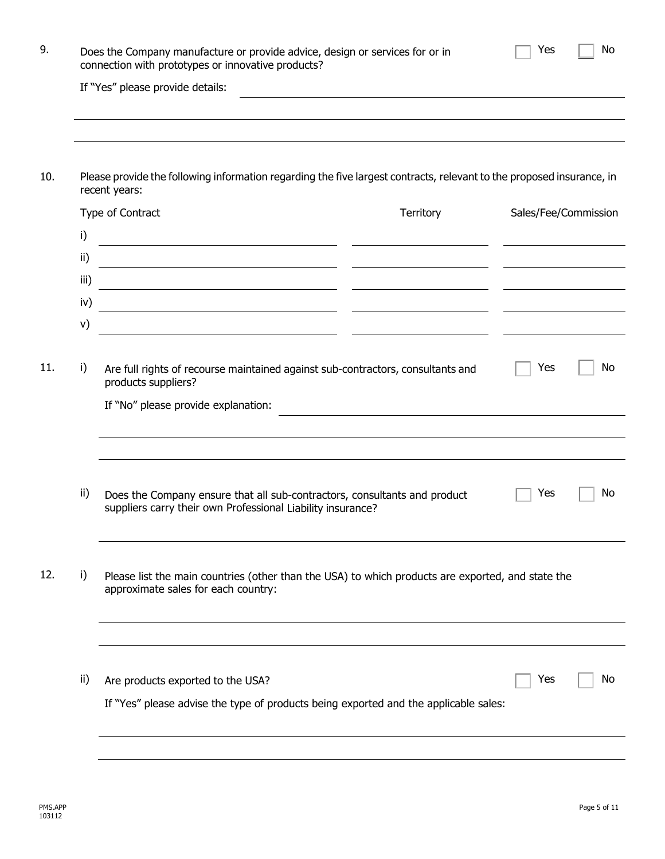| If "Yes" please provide details:<br>Please provide the following information regarding the five largest contracts, relevant to the proposed insurance, in<br>10.<br>recent years:<br>Type of Contract<br>Territory<br>Sales/Fee/Commission<br>i)<br>ii)<br><u> 1980 - Johann Barbara, martxa alemaniar a</u><br>iii) | No |
|----------------------------------------------------------------------------------------------------------------------------------------------------------------------------------------------------------------------------------------------------------------------------------------------------------------------|----|
|                                                                                                                                                                                                                                                                                                                      |    |
|                                                                                                                                                                                                                                                                                                                      |    |
|                                                                                                                                                                                                                                                                                                                      |    |
|                                                                                                                                                                                                                                                                                                                      |    |
|                                                                                                                                                                                                                                                                                                                      |    |
|                                                                                                                                                                                                                                                                                                                      |    |
|                                                                                                                                                                                                                                                                                                                      |    |
|                                                                                                                                                                                                                                                                                                                      |    |
| iv)<br><u> 1989 - Johann Stone, fransk politiker (d. 1989)</u>                                                                                                                                                                                                                                                       |    |
| V)<br><u> 1989 - Johann Barbara, martin a</u>                                                                                                                                                                                                                                                                        |    |
| 11.<br>i)<br>Are full rights of recourse maintained against sub-contractors, consultants and<br>Yes<br>products suppliers?                                                                                                                                                                                           | No |
| If "No" please provide explanation:                                                                                                                                                                                                                                                                                  |    |
|                                                                                                                                                                                                                                                                                                                      |    |
|                                                                                                                                                                                                                                                                                                                      |    |
| ii)<br>Does the Company ensure that all sub-contractors, consultants and product<br>Yes<br>suppliers carry their own Professional Liability insurance?                                                                                                                                                               | No |
| 12.<br>i)<br>Please list the main countries (other than the USA) to which products are exported, and state the<br>approximate sales for each country:                                                                                                                                                                |    |
|                                                                                                                                                                                                                                                                                                                      |    |
| ii)<br>Yes<br>Are products exported to the USA?                                                                                                                                                                                                                                                                      | No |
| If "Yes" please advise the type of products being exported and the applicable sales:                                                                                                                                                                                                                                 |    |
|                                                                                                                                                                                                                                                                                                                      |    |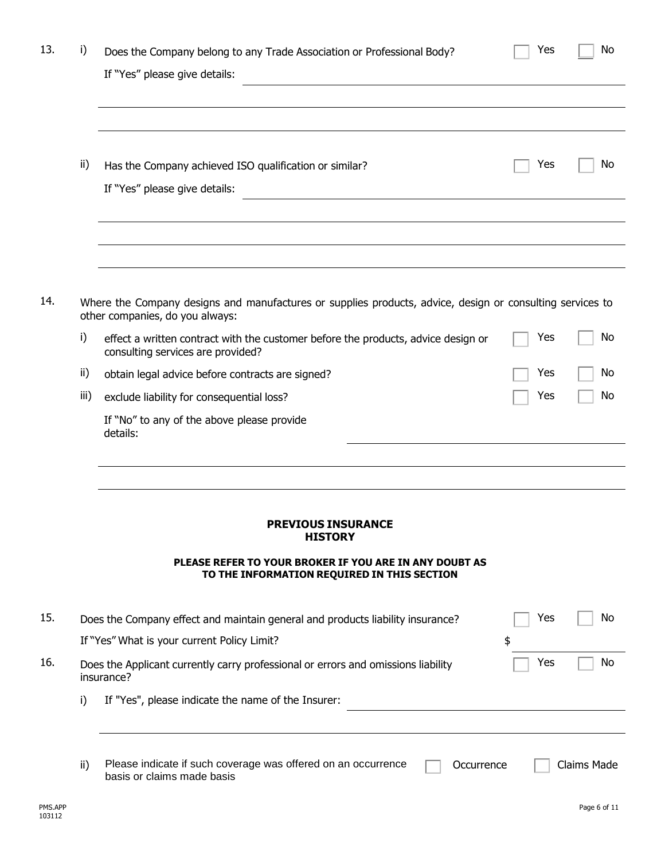| 13. | i)   | Does the Company belong to any Trade Association or Professional Body?<br>If "Yes" please give details:                                      | Yes | No          |  |  |  |  |
|-----|------|----------------------------------------------------------------------------------------------------------------------------------------------|-----|-------------|--|--|--|--|
|     |      |                                                                                                                                              |     |             |  |  |  |  |
|     | ii)  | Has the Company achieved ISO qualification or similar?                                                                                       | Yes | No          |  |  |  |  |
|     |      | If "Yes" please give details:                                                                                                                |     |             |  |  |  |  |
|     |      |                                                                                                                                              |     |             |  |  |  |  |
|     |      |                                                                                                                                              |     |             |  |  |  |  |
| 14. |      | Where the Company designs and manufactures or supplies products, advice, design or consulting services to<br>other companies, do you always: |     |             |  |  |  |  |
|     | i)   | effect a written contract with the customer before the products, advice design or<br>consulting services are provided?                       | Yes | No          |  |  |  |  |
|     | ii)  | obtain legal advice before contracts are signed?                                                                                             | Yes | No          |  |  |  |  |
|     | iii) | exclude liability for consequential loss?                                                                                                    | Yes | No          |  |  |  |  |
|     |      | If "No" to any of the above please provide<br>details:                                                                                       |     |             |  |  |  |  |
|     |      |                                                                                                                                              |     |             |  |  |  |  |
|     |      | <b>PREVIOUS INSURANCE</b><br><b>HISTORY</b>                                                                                                  |     |             |  |  |  |  |
|     |      | PLEASE REFER TO YOUR BROKER IF YOU ARE IN ANY DOUBT AS<br>TO THE INFORMATION REQUIRED IN THIS SECTION                                        |     |             |  |  |  |  |
| 15. |      | Does the Company effect and maintain general and products liability insurance?                                                               | Yes | No          |  |  |  |  |
|     |      | If "Yes" What is your current Policy Limit?                                                                                                  | \$  |             |  |  |  |  |
| 16. |      | Does the Applicant currently carry professional or errors and omissions liability<br>insurance?                                              | Yes | No          |  |  |  |  |
|     | i)   | If "Yes", please indicate the name of the Insurer:                                                                                           |     |             |  |  |  |  |
|     |      |                                                                                                                                              |     |             |  |  |  |  |
|     | ii)  | Please indicate if such coverage was offered on an occurrence<br>Occurrence<br>basis or claims made basis                                    |     | Claims Made |  |  |  |  |

PMS.APP<br>103112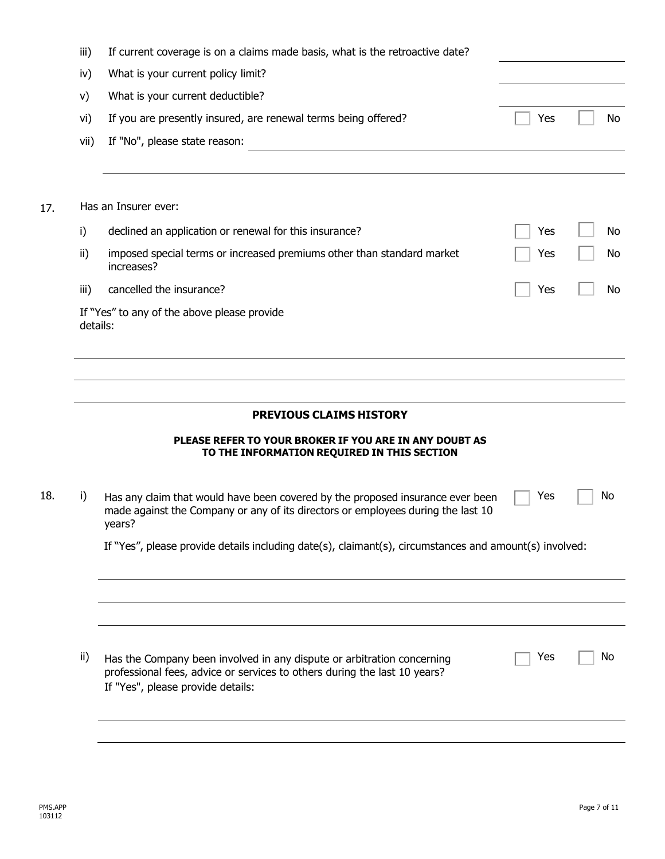|     | iii)     | If current coverage is on a claims made basis, what is the retroactive date?                                                                                                             |     |    |
|-----|----------|------------------------------------------------------------------------------------------------------------------------------------------------------------------------------------------|-----|----|
|     | iv)      | What is your current policy limit?                                                                                                                                                       |     |    |
|     | V)       | What is your current deductible?                                                                                                                                                         |     |    |
|     | vi)      | If you are presently insured, are renewal terms being offered?                                                                                                                           | Yes | No |
|     | vii)     | If "No", please state reason:                                                                                                                                                            |     |    |
|     |          | Has an Insurer ever:                                                                                                                                                                     |     |    |
| 17. | i)       | declined an application or renewal for this insurance?                                                                                                                                   | Yes | No |
|     | ii)      | imposed special terms or increased premiums other than standard market<br>increases?                                                                                                     | Yes | No |
|     | iii)     | cancelled the insurance?                                                                                                                                                                 | Yes | No |
|     | details: | If "Yes" to any of the above please provide                                                                                                                                              |     |    |
|     |          |                                                                                                                                                                                          |     |    |
|     |          |                                                                                                                                                                                          |     |    |
|     |          |                                                                                                                                                                                          |     |    |
|     |          | <b>PREVIOUS CLAIMS HISTORY</b>                                                                                                                                                           |     |    |
|     |          | PLEASE REFER TO YOUR BROKER IF YOU ARE IN ANY DOUBT AS<br>TO THE INFORMATION REQUIRED IN THIS SECTION                                                                                    |     |    |
| 18. | i)       | Has any claim that would have been covered by the proposed insurance ever been<br>made against the Company or any of its directors or employees during the last 10<br>years?             | Yes | No |
|     |          | If "Yes", please provide details including date(s), claimant(s), circumstances and amount(s) involved:                                                                                   |     |    |
|     |          |                                                                                                                                                                                          |     |    |
|     |          |                                                                                                                                                                                          |     |    |
|     | ii)      | Has the Company been involved in any dispute or arbitration concerning<br>professional fees, advice or services to others during the last 10 years?<br>If "Yes", please provide details: | Yes | No |
|     |          |                                                                                                                                                                                          |     |    |
|     |          |                                                                                                                                                                                          |     |    |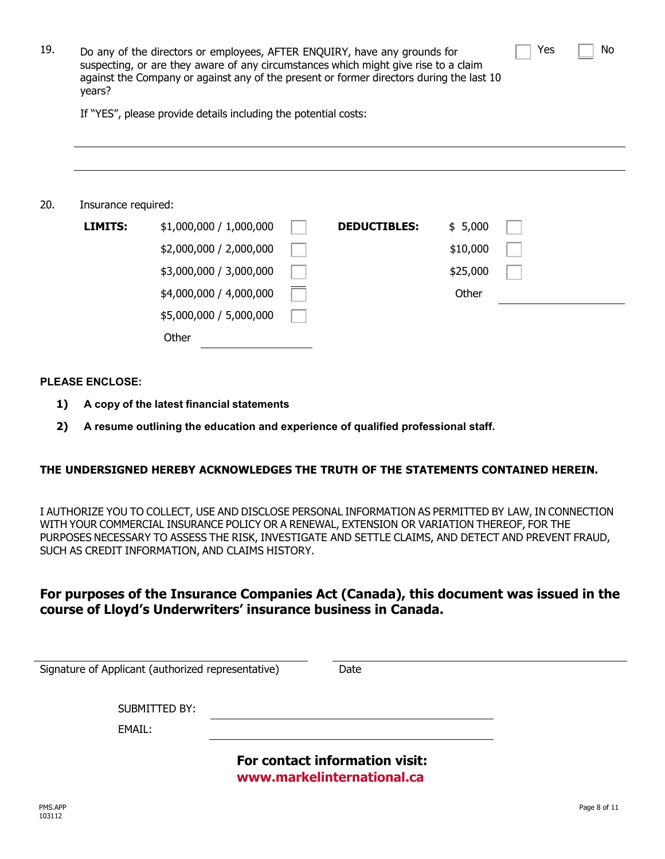| years?              | Do any of the directors or employees, AFTER ENQUIRY, have any grounds for<br>suspecting, or are they aware of any circumstances which might give rise to a claim<br>against the Company or against any of the present or former directors during the last 10 |                     |          | Yes |  |
|---------------------|--------------------------------------------------------------------------------------------------------------------------------------------------------------------------------------------------------------------------------------------------------------|---------------------|----------|-----|--|
|                     | If "YES", please provide details including the potential costs:                                                                                                                                                                                              |                     |          |     |  |
|                     |                                                                                                                                                                                                                                                              |                     |          |     |  |
|                     |                                                                                                                                                                                                                                                              |                     |          |     |  |
|                     |                                                                                                                                                                                                                                                              |                     |          |     |  |
| Insurance required: |                                                                                                                                                                                                                                                              |                     |          |     |  |
| <b>LIMITS:</b>      | \$1,000,000 / 1,000,000                                                                                                                                                                                                                                      | <b>DEDUCTIBLES:</b> | \$5,000  |     |  |
|                     | \$2,000,000 / 2,000,000                                                                                                                                                                                                                                      |                     | \$10,000 |     |  |
|                     | \$3,000,000 / 3,000,000                                                                                                                                                                                                                                      |                     | \$25,000 |     |  |
|                     | \$4,000,000 / 4,000,000                                                                                                                                                                                                                                      |                     | Other    |     |  |
|                     |                                                                                                                                                                                                                                                              |                     |          |     |  |
|                     | \$5,000,000 / 5,000,000                                                                                                                                                                                                                                      |                     |          |     |  |

**PLEASE ENCLOSE:**

- **1) A copy of the latest financial statements**
- **2) A resume outlining the education and experience of qualified professional staff.**

#### **THE UNDERSIGNED HEREBY ACKNOWLEDGES THE TRUTH OF THE STATEMENTS CONTAINED HEREIN.**

I AUTHORIZE YOU TO COLLECT, USE AND DISCLOSE PERSONAL INFORMATION AS PERMITTED BY LAW, IN CONNECTION WITH YOUR COMMERCIAL INSURANCE POLICY OR A RENEWAL, EXTENSION OR VARIATION THEREOF, FOR THE PURPOSES NECESSARY TO ASSESS THE RISK, INVESTIGATE AND SETTLE CLAIMS, AND DETECT AND PREVENT FRAUD, SUCH AS CREDIT INFORMATION, AND CLAIMS HISTORY.

## **For purposes of the Insurance Companies Act (Canada), this document was issued in the course of Lloyd's Underwriters' insurance business in Canada.**

| Date                                               |                                                              |
|----------------------------------------------------|--------------------------------------------------------------|
|                                                    |                                                              |
|                                                    |                                                              |
|                                                    |                                                              |
|                                                    |                                                              |
|                                                    |                                                              |
|                                                    |                                                              |
|                                                    |                                                              |
| Signature of Applicant (authorized representative) | For contact information visit:<br>www.markelinternational.ca |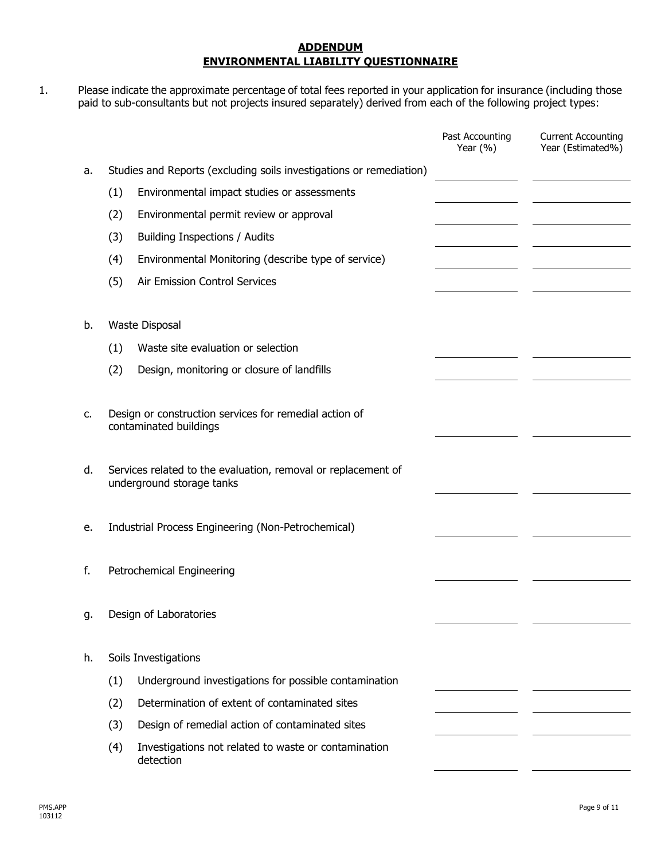#### **ADDENDUM ENVIRONMENTAL LIABILITY QUESTIONNAIRE**

1. Please indicate the approximate percentage of total fees reported in your application for insurance (including those paid to sub-consultants but not projects insured separately) derived from each of the following project types:

|    |                                                                                            |                                                                                  | Past Accounting<br>Year $(% )$ | <b>Current Accounting</b><br>Year (Estimated%) |  |  |
|----|--------------------------------------------------------------------------------------------|----------------------------------------------------------------------------------|--------------------------------|------------------------------------------------|--|--|
| а. |                                                                                            | Studies and Reports (excluding soils investigations or remediation)              |                                |                                                |  |  |
|    | (1)                                                                                        | Environmental impact studies or assessments                                      |                                |                                                |  |  |
|    | (2)                                                                                        | Environmental permit review or approval                                          |                                |                                                |  |  |
|    | (3)                                                                                        | Building Inspections / Audits                                                    |                                |                                                |  |  |
|    | (4)                                                                                        | Environmental Monitoring (describe type of service)                              |                                |                                                |  |  |
|    | (5)                                                                                        | Air Emission Control Services                                                    |                                |                                                |  |  |
| b. |                                                                                            | Waste Disposal                                                                   |                                |                                                |  |  |
|    | (1)                                                                                        | Waste site evaluation or selection                                               |                                |                                                |  |  |
|    | (2)                                                                                        | Design, monitoring or closure of landfills                                       |                                |                                                |  |  |
| c. |                                                                                            | Design or construction services for remedial action of<br>contaminated buildings |                                |                                                |  |  |
| d. | Services related to the evaluation, removal or replacement of<br>underground storage tanks |                                                                                  |                                |                                                |  |  |
| е. | Industrial Process Engineering (Non-Petrochemical)                                         |                                                                                  |                                |                                                |  |  |
| f. | Petrochemical Engineering                                                                  |                                                                                  |                                |                                                |  |  |
| g. | Design of Laboratories                                                                     |                                                                                  |                                |                                                |  |  |
| h. | Soils Investigations                                                                       |                                                                                  |                                |                                                |  |  |
|    | (1)                                                                                        | Underground investigations for possible contamination                            |                                |                                                |  |  |
|    | (2)                                                                                        | Determination of extent of contaminated sites                                    |                                |                                                |  |  |
|    | (3)                                                                                        | Design of remedial action of contaminated sites                                  |                                |                                                |  |  |
|    | (4)                                                                                        | Investigations not related to waste or contamination<br>detection                |                                |                                                |  |  |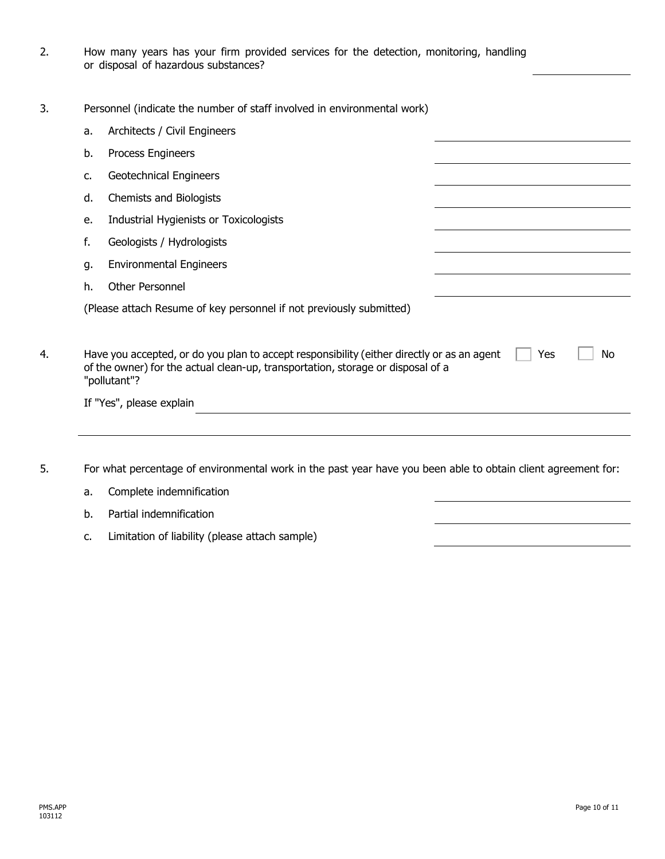- 2. How many years has your firm provided services for the detection, monitoring, handling or disposal of hazardous substances?
- 3. Personnel (indicate the number of staff involved in environmental work)

|    | If "Yes", please explain                                                                                                                                                                                   |  |  |  |  |  |
|----|------------------------------------------------------------------------------------------------------------------------------------------------------------------------------------------------------------|--|--|--|--|--|
|    | Have you accepted, or do you plan to accept responsibility (either directly or as an agent<br>Yes<br>No<br>of the owner) for the actual clean-up, transportation, storage or disposal of a<br>"pollutant"? |  |  |  |  |  |
|    | (Please attach Resume of key personnel if not previously submitted)                                                                                                                                        |  |  |  |  |  |
| h. | <b>Other Personnel</b>                                                                                                                                                                                     |  |  |  |  |  |
| g. | <b>Environmental Engineers</b>                                                                                                                                                                             |  |  |  |  |  |
| f. | Geologists / Hydrologists                                                                                                                                                                                  |  |  |  |  |  |
| e. | Industrial Hygienists or Toxicologists                                                                                                                                                                     |  |  |  |  |  |
| d. | Chemists and Biologists                                                                                                                                                                                    |  |  |  |  |  |
| c. | Geotechnical Engineers                                                                                                                                                                                     |  |  |  |  |  |
| b. | Process Engineers                                                                                                                                                                                          |  |  |  |  |  |
| a. | Architects / Civil Engineers                                                                                                                                                                               |  |  |  |  |  |

- 5. For what percentage of environmental work in the past year have you been able to obtain client agreement for:
	- a. Complete indemnification
	- b. Partial indemnification
	- c. Limitation of liability (please attach sample)